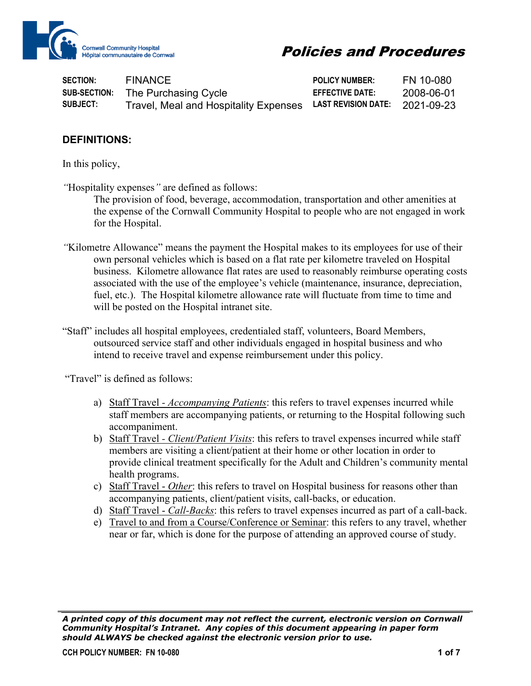

| <b>SECTION:</b>     | <b>FINANCE</b>                                        | <b>POLICY NUMBER:</b>                   | FN 10-080  |
|---------------------|-------------------------------------------------------|-----------------------------------------|------------|
| <b>SUB-SECTION:</b> | The Purchasing Cycle                                  | <b>EFFECTIVE DATE:</b>                  | 2008-06-01 |
| <b>SUBJECT:</b>     | Meal and Hospitality Expenses<br><i><b>Iravel</b></i> | <b>LAST REVISION DATE:</b> $2021-09-23$ |            |

## **DEFINITIONS:**

In this policy,

*"*Hospitality expenses*"* are defined as follows:

The provision of food, beverage, accommodation, transportation and other amenities at the expense of the Cornwall Community Hospital to people who are not engaged in work for the Hospital.

- *"*Kilometre Allowance" means the payment the Hospital makes to its employees for use of their own personal vehicles which is based on a flat rate per kilometre traveled on Hospital business. Kilometre allowance flat rates are used to reasonably reimburse operating costs associated with the use of the employee's vehicle (maintenance, insurance, depreciation, fuel, etc.). The Hospital kilometre allowance rate will fluctuate from time to time and will be posted on the Hospital intranet site.
- "Staff" includes all hospital employees, credentialed staff, volunteers, Board Members, outsourced service staff and other individuals engaged in hospital business and who intend to receive travel and expense reimbursement under this policy.

"Travel" is defined as follows:

- a) Staff Travel *- Accompanying Patients*: this refers to travel expenses incurred while staff members are accompanying patients, or returning to the Hospital following such accompaniment.
- b) Staff Travel *- Client/Patient Visits*: this refers to travel expenses incurred while staff members are visiting a client/patient at their home or other location in order to provide clinical treatment specifically for the Adult and Children's community mental health programs.
- c) Staff Travel *Other*: this refers to travel on Hospital business for reasons other than accompanying patients, client/patient visits, call-backs, or education.
- d) Staff Travel *Call-Backs*: this refers to travel expenses incurred as part of a call-back.
- e) Travel to and from a Course/Conference or Seminar: this refers to any travel, whether near or far, which is done for the purpose of attending an approved course of study.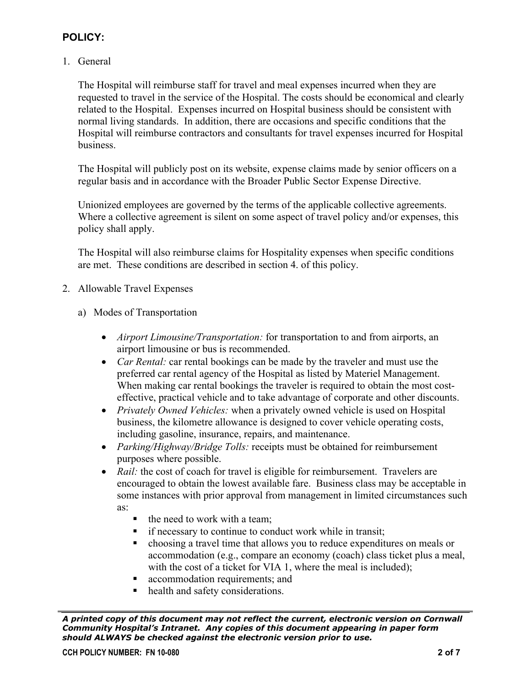## **POLICY:**

1. General

The Hospital will reimburse staff for travel and meal expenses incurred when they are requested to travel in the service of the Hospital. The costs should be economical and clearly related to the Hospital. Expenses incurred on Hospital business should be consistent with normal living standards. In addition, there are occasions and specific conditions that the Hospital will reimburse contractors and consultants for travel expenses incurred for Hospital business.

The Hospital will publicly post on its website, expense claims made by senior officers on a regular basis and in accordance with the Broader Public Sector Expense Directive.

Unionized employees are governed by the terms of the applicable collective agreements. Where a collective agreement is silent on some aspect of travel policy and/or expenses, this policy shall apply.

The Hospital will also reimburse claims for Hospitality expenses when specific conditions are met. These conditions are described in section 4. of this policy.

- 2. Allowable Travel Expenses
	- a) Modes of Transportation
		- *Airport Limousine/Transportation:* for transportation to and from airports, an airport limousine or bus is recommended.
		- *Car Rental:* car rental bookings can be made by the traveler and must use the preferred car rental agency of the Hospital as listed by Materiel Management. When making car rental bookings the traveler is required to obtain the most costeffective, practical vehicle and to take advantage of corporate and other discounts.
		- *Privately Owned Vehicles:* when a privately owned vehicle is used on Hospital business, the kilometre allowance is designed to cover vehicle operating costs, including gasoline, insurance, repairs, and maintenance.
		- *Parking/Highway/Bridge Tolls:* receipts must be obtained for reimbursement purposes where possible.
		- *Rail:* the cost of coach for travel is eligible for reimbursement. Travelers are encouraged to obtain the lowest available fare. Business class may be acceptable in some instances with prior approval from management in limited circumstances such as:
			- $\blacksquare$  the need to work with a team;
			- if necessary to continue to conduct work while in transit;
			- choosing a travel time that allows you to reduce expenditures on meals or accommodation (e.g., compare an economy (coach) class ticket plus a meal, with the cost of a ticket for VIA 1, where the meal is included);
			- accommodation requirements; and
			- health and safety considerations.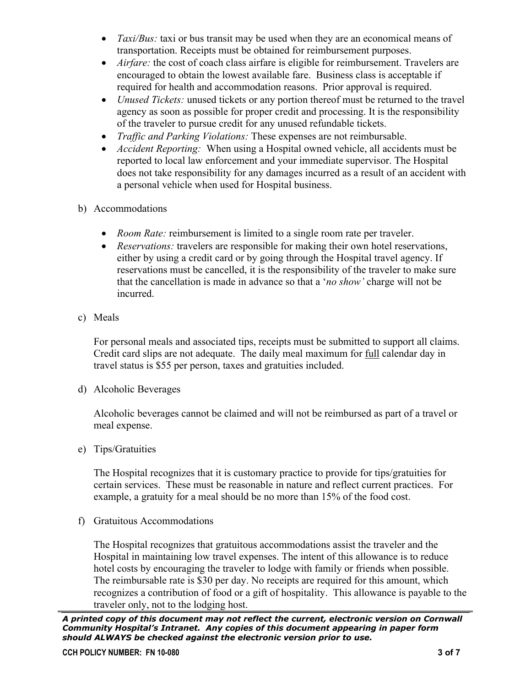- *Taxi/Bus:* taxi or bus transit may be used when they are an economical means of transportation. Receipts must be obtained for reimbursement purposes.
- *Airfare:* the cost of coach class airfare is eligible for reimbursement. Travelers are encouraged to obtain the lowest available fare. Business class is acceptable if required for health and accommodation reasons. Prior approval is required.
- *Unused Tickets:* unused tickets or any portion thereof must be returned to the travel agency as soon as possible for proper credit and processing. It is the responsibility of the traveler to pursue credit for any unused refundable tickets.
- *Traffic and Parking Violations:* These expenses are not reimbursable.
- *Accident Reporting:* When using a Hospital owned vehicle, all accidents must be reported to local law enforcement and your immediate supervisor. The Hospital does not take responsibility for any damages incurred as a result of an accident with a personal vehicle when used for Hospital business.
- b) Accommodations
	- *Room Rate:* reimbursement is limited to a single room rate per traveler.
	- *Reservations:* travelers are responsible for making their own hotel reservations, either by using a credit card or by going through the Hospital travel agency. If reservations must be cancelled, it is the responsibility of the traveler to make sure that the cancellation is made in advance so that a '*no show'* charge will not be incurred.
- c) Meals

For personal meals and associated tips, receipts must be submitted to support all claims. Credit card slips are not adequate. The daily meal maximum for full calendar day in travel status is \$55 per person, taxes and gratuities included.

d) Alcoholic Beverages

Alcoholic beverages cannot be claimed and will not be reimbursed as part of a travel or meal expense.

e) Tips/Gratuities

The Hospital recognizes that it is customary practice to provide for tips/gratuities for certain services. These must be reasonable in nature and reflect current practices. For example, a gratuity for a meal should be no more than 15% of the food cost.

f) Gratuitous Accommodations

The Hospital recognizes that gratuitous accommodations assist the traveler and the Hospital in maintaining low travel expenses. The intent of this allowance is to reduce hotel costs by encouraging the traveler to lodge with family or friends when possible. The reimbursable rate is \$30 per day. No receipts are required for this amount, which recognizes a contribution of food or a gift of hospitality. This allowance is payable to the traveler only, not to the lodging host.

*A printed copy of this document may not reflect the current, electronic version on Cornwall Community Hospital's Intranet. Any copies of this document appearing in paper form should ALWAYS be checked against the electronic version prior to use.*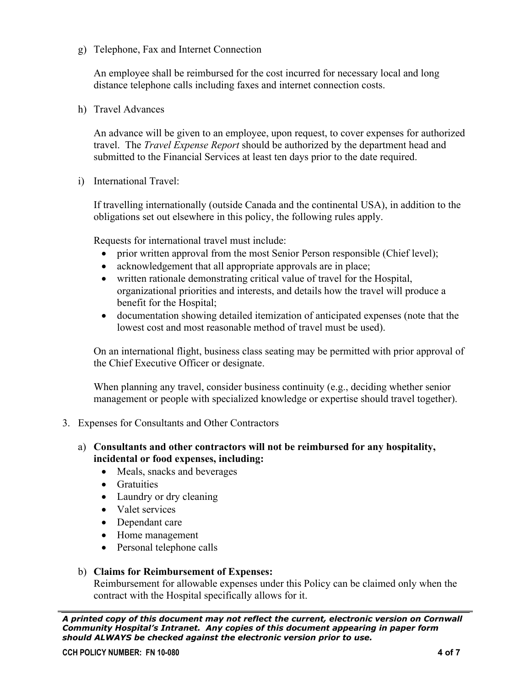g) Telephone, Fax and Internet Connection

An employee shall be reimbursed for the cost incurred for necessary local and long distance telephone calls including faxes and internet connection costs.

h) Travel Advances

An advance will be given to an employee, upon request, to cover expenses for authorized travel. The *Travel Expense Report* should be authorized by the department head and submitted to the Financial Services at least ten days prior to the date required.

i) International Travel:

If travelling internationally (outside Canada and the continental USA), in addition to the obligations set out elsewhere in this policy, the following rules apply.

Requests for international travel must include:

- prior written approval from the most Senior Person responsible (Chief level);
- acknowledgement that all appropriate approvals are in place;
- written rationale demonstrating critical value of travel for the Hospital, organizational priorities and interests, and details how the travel will produce a benefit for the Hospital;
- documentation showing detailed itemization of anticipated expenses (note that the lowest cost and most reasonable method of travel must be used).

On an international flight, business class seating may be permitted with prior approval of the Chief Executive Officer or designate.

When planning any travel, consider business continuity (e.g., deciding whether senior management or people with specialized knowledge or expertise should travel together).

- 3. Expenses for Consultants and Other Contractors
	- a) **Consultants and other contractors will not be reimbursed for any hospitality, incidental or food expenses, including:**
		- Meals, snacks and beverages
		- Gratuities
		- Laundry or dry cleaning
		- Valet services
		- Dependant care
		- Home management
		- Personal telephone calls

## b) **Claims for Reimbursement of Expenses:**

Reimbursement for allowable expenses under this Policy can be claimed only when the contract with the Hospital specifically allows for it.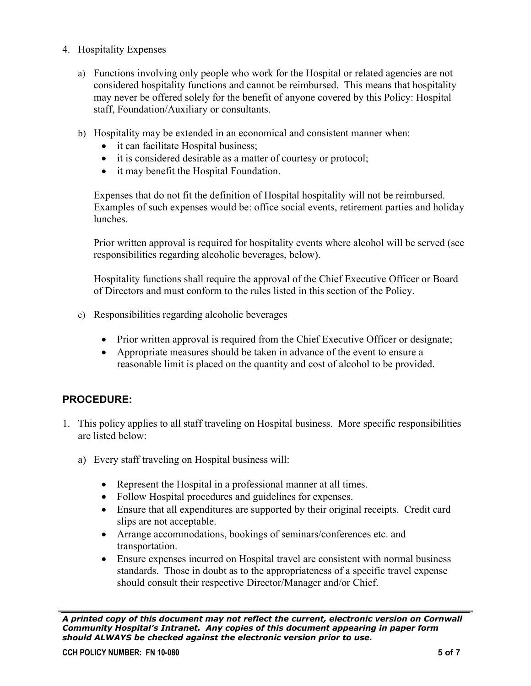- 4. Hospitality Expenses
	- a) Functions involving only people who work for the Hospital or related agencies are not considered hospitality functions and cannot be reimbursed. This means that hospitality may never be offered solely for the benefit of anyone covered by this Policy: Hospital staff, Foundation/Auxiliary or consultants.
	- b) Hospitality may be extended in an economical and consistent manner when:
		- it can facilitate Hospital business;
		- it is considered desirable as a matter of courtesy or protocol;
		- it may benefit the Hospital Foundation.

Expenses that do not fit the definition of Hospital hospitality will not be reimbursed. Examples of such expenses would be: office social events, retirement parties and holiday lunches.

Prior written approval is required for hospitality events where alcohol will be served (see responsibilities regarding alcoholic beverages, below).

Hospitality functions shall require the approval of the Chief Executive Officer or Board of Directors and must conform to the rules listed in this section of the Policy.

- c) Responsibilities regarding alcoholic beverages
	- Prior written approval is required from the Chief Executive Officer or designate;
	- Appropriate measures should be taken in advance of the event to ensure a reasonable limit is placed on the quantity and cost of alcohol to be provided.

## **PROCEDURE:**

- 1. This policy applies to all staff traveling on Hospital business. More specific responsibilities are listed below:
	- a) Every staff traveling on Hospital business will:
		- Represent the Hospital in a professional manner at all times.
		- Follow Hospital procedures and guidelines for expenses.
		- Ensure that all expenditures are supported by their original receipts. Credit card slips are not acceptable.
		- Arrange accommodations, bookings of seminars/conferences etc. and transportation.
		- Ensure expenses incurred on Hospital travel are consistent with normal business standards. Those in doubt as to the appropriateness of a specific travel expense should consult their respective Director/Manager and/or Chief.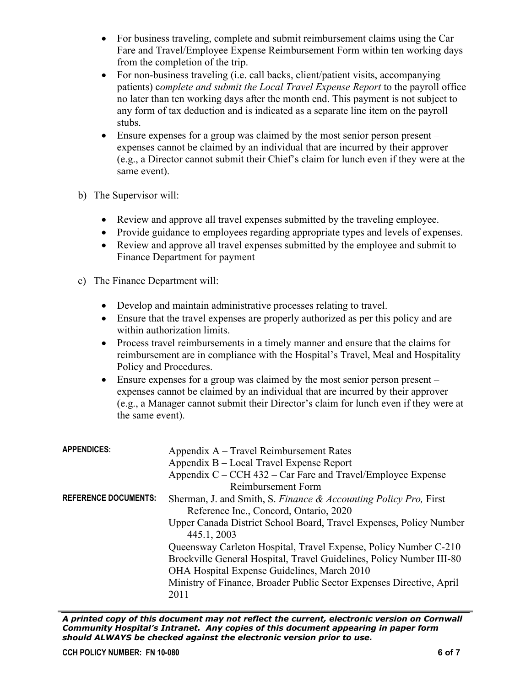- For business traveling, complete and submit reimbursement claims using the Car Fare and Travel/Employee Expense Reimbursement Form within ten working days from the completion of the trip.
- For non-business traveling (i.e. call backs, client/patient visits, accompanying patients) c*omplete and submit the Local Travel Expense Report* to the payroll office no later than ten working days after the month end. This payment is not subject to any form of tax deduction and is indicated as a separate line item on the payroll stubs.
- Ensure expenses for a group was claimed by the most senior person present expenses cannot be claimed by an individual that are incurred by their approver (e.g., a Director cannot submit their Chief's claim for lunch even if they were at the same event).
- b) The Supervisor will:
	- Review and approve all travel expenses submitted by the traveling employee.
	- Provide guidance to employees regarding appropriate types and levels of expenses.
	- Review and approve all travel expenses submitted by the employee and submit to Finance Department for payment
- c) The Finance Department will:
	- Develop and maintain administrative processes relating to travel.
	- Ensure that the travel expenses are properly authorized as per this policy and are within authorization limits.
	- Process travel reimbursements in a timely manner and ensure that the claims for reimbursement are in compliance with the Hospital's Travel, Meal and Hospitality Policy and Procedures.
	- Ensure expenses for a group was claimed by the most senior person present expenses cannot be claimed by an individual that are incurred by their approver (e.g., a Manager cannot submit their Director's claim for lunch even if they were at the same event).

| <b>APPENDICES:</b>          | Appendix $A$ – Travel Reimbursement Rates<br>Appendix B – Local Travel Expense Report<br>Appendix $C - CCH$ 432 – Car Fare and Travel/Employee Expense<br>Reimbursement Form                                                                                                                                                                                                                                                                                               |
|-----------------------------|----------------------------------------------------------------------------------------------------------------------------------------------------------------------------------------------------------------------------------------------------------------------------------------------------------------------------------------------------------------------------------------------------------------------------------------------------------------------------|
| <b>REFERENCE DOCUMENTS:</b> | Sherman, J. and Smith, S. Finance & Accounting Policy Pro, First<br>Reference Inc., Concord, Ontario, 2020<br>Upper Canada District School Board, Travel Expenses, Policy Number<br>445.1, 2003<br>Queensway Carleton Hospital, Travel Expense, Policy Number C-210<br>Brockville General Hospital, Travel Guidelines, Policy Number III-80<br>OHA Hospital Expense Guidelines, March 2010<br>Ministry of Finance, Broader Public Sector Expenses Directive, April<br>2011 |